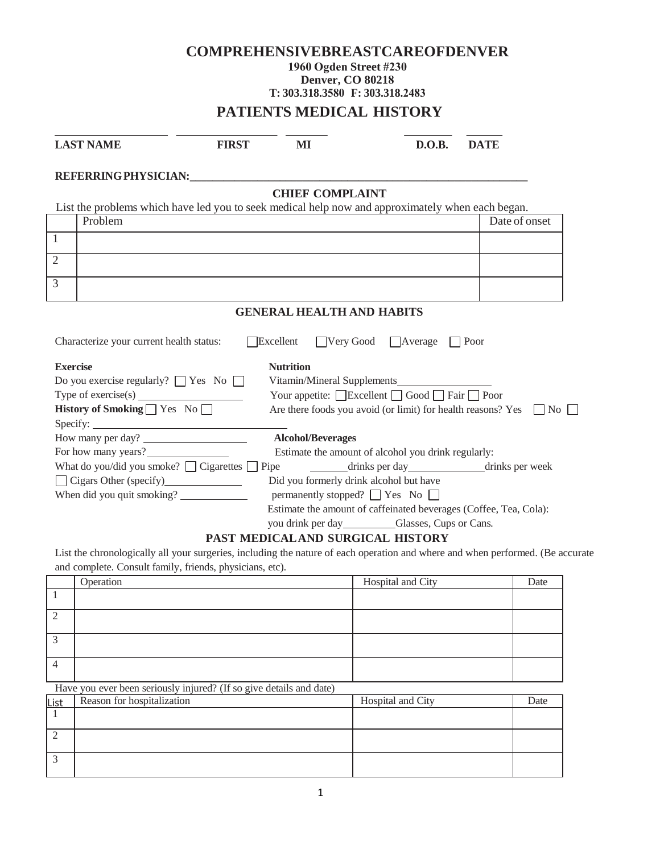# **COMPREHENSIVEBREASTCAREOFDENVER 1960 Ogden Street #230 Denver, CO 80218 T: 303.318.3580 F: 303.318.2483 PATIENTS MEDICAL HISTORY**

| <b>LAST NAME</b>                                                                                                                                                 | <b>FIRST</b> | MI                               | D.O.B.                                                            | <b>DATE</b>                                                                                                                    |
|------------------------------------------------------------------------------------------------------------------------------------------------------------------|--------------|----------------------------------|-------------------------------------------------------------------|--------------------------------------------------------------------------------------------------------------------------------|
| REFERRING PHYSICIAN:                                                                                                                                             |              |                                  |                                                                   |                                                                                                                                |
|                                                                                                                                                                  |              | <b>CHIEF COMPLAINT</b>           |                                                                   |                                                                                                                                |
| List the problems which have led you to seek medical help now and approximately when each began.                                                                 |              |                                  |                                                                   |                                                                                                                                |
| Problem                                                                                                                                                          |              |                                  |                                                                   | Date of onset                                                                                                                  |
| $\mathbf{1}$                                                                                                                                                     |              |                                  |                                                                   |                                                                                                                                |
| $\overline{2}$                                                                                                                                                   |              |                                  |                                                                   |                                                                                                                                |
|                                                                                                                                                                  |              |                                  |                                                                   |                                                                                                                                |
| 3                                                                                                                                                                |              |                                  |                                                                   |                                                                                                                                |
|                                                                                                                                                                  |              | <b>GENERAL HEALTH AND HABITS</b> |                                                                   |                                                                                                                                |
| <b>Exercise</b><br>Do you exercise regularly? $\Box$ Yes No $\Box$<br>Type of exercise(s) $\overline{\qquad \qquad }$<br>History of Smoking $\Box$ Yes No $\Box$ |              | <b>Nutrition</b>                 | Your appetite: □Excellent □ Good □ Fair □ Poor                    | Are there foods you avoid (or limit) for health reasons? Yes $\Box$ No $\Box$                                                  |
| How many per day?                                                                                                                                                |              | <b>Alcohol/Beverages</b>         |                                                                   |                                                                                                                                |
| For how many years?                                                                                                                                              |              |                                  | Estimate the amount of alcohol you drink regularly:               |                                                                                                                                |
| What do you/did you smoke? $\Box$ Cigarettes $\Box$ Pipe                                                                                                         |              |                                  | drinks per day drinks per week                                    |                                                                                                                                |
|                                                                                                                                                                  |              |                                  | Did you formerly drink alcohol but have                           |                                                                                                                                |
| When did you quit smoking?                                                                                                                                       |              |                                  | permanently stopped? $\Box$ Yes No $\Box$                         |                                                                                                                                |
|                                                                                                                                                                  |              |                                  | Estimate the amount of caffeinated beverages (Coffee, Tea, Cola): |                                                                                                                                |
|                                                                                                                                                                  |              |                                  | you drink per day Glasses, Cups or Cans.                          |                                                                                                                                |
|                                                                                                                                                                  |              |                                  | PAST MEDICAL AND SURGICAL HISTORY                                 |                                                                                                                                |
| and complete. Consult family, friends, physicians, etc).                                                                                                         |              |                                  |                                                                   | List the chronologically all your surgeries, including the nature of each operation and where and when performed. (Be accurate |
| Operation                                                                                                                                                        |              |                                  | Hospital and City                                                 | Date                                                                                                                           |
|                                                                                                                                                                  |              |                                  |                                                                   |                                                                                                                                |

|                | <b>Operation</b>                                                    | <b>Hospital and City</b> | Date |
|----------------|---------------------------------------------------------------------|--------------------------|------|
|                |                                                                     |                          |      |
| 2              |                                                                     |                          |      |
| 3              |                                                                     |                          |      |
| $\overline{4}$ |                                                                     |                          |      |
|                | Have you ever been seriously injured? (If so give details and date) |                          |      |
| List           | Reason for hospitalization                                          | Hospital and City        | Date |
|                |                                                                     |                          |      |
| 2              |                                                                     |                          |      |
| 3              |                                                                     |                          |      |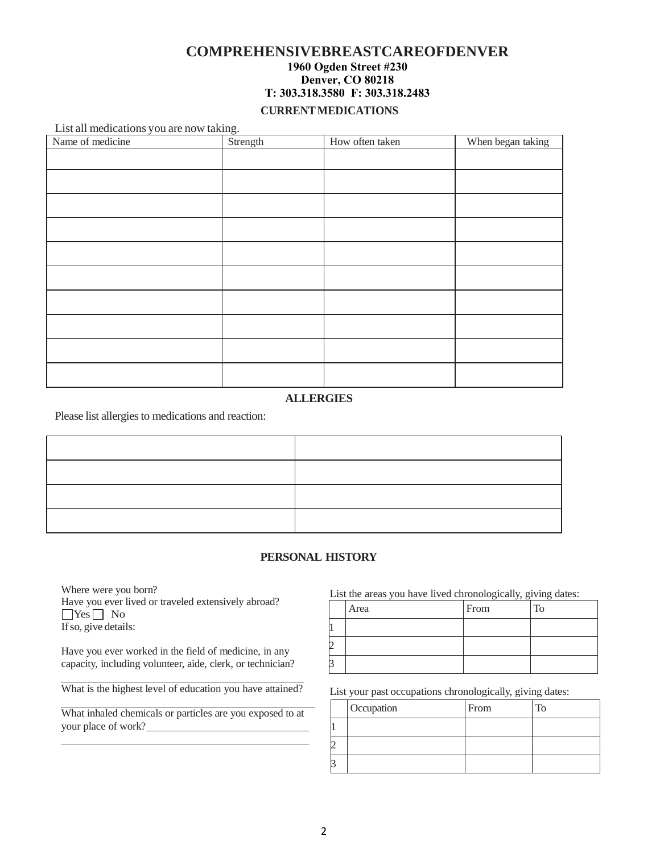# **COMPREHENSIVEBREASTCAREOFDENVER 1960 Ogden Street #230 Denver, CO 80218 T: 303.318.3580 F: 303.318.2483**

#### **CURRENT MEDICATIONS**

List all medications you are now taking.

| Name of medicine | Strength | How often taken | When began taking |
|------------------|----------|-----------------|-------------------|
|                  |          |                 |                   |
|                  |          |                 |                   |
|                  |          |                 |                   |
|                  |          |                 |                   |
|                  |          |                 |                   |
|                  |          |                 |                   |
|                  |          |                 |                   |
|                  |          |                 |                   |
|                  |          |                 |                   |
|                  |          |                 |                   |

### **ALLERGIES**

Please list allergies to medications and reaction:

#### **PERSONAL HISTORY**

Where were you born? Have you ever lived or traveled extensively abroad?  $\Box$ Yes  $\Box$  No If so, give details:

Have you ever worked in the field of medicine, in any capacity, including volunteer, aide, clerk, or technician?

What is the highest level of education you have attained?

What inhaled chemicals or particles are you exposed to at your place of work?

List the areas you have lived chronologically, giving dates:

| Area | From | <b>To</b> |
|------|------|-----------|
|      |      |           |
|      |      |           |
|      |      |           |

List your past occupations chronologically, giving dates:

|  | Occupation | From | $T_{\Omega}$ |
|--|------------|------|--------------|
|  |            |      |              |
|  |            |      |              |
|  |            |      |              |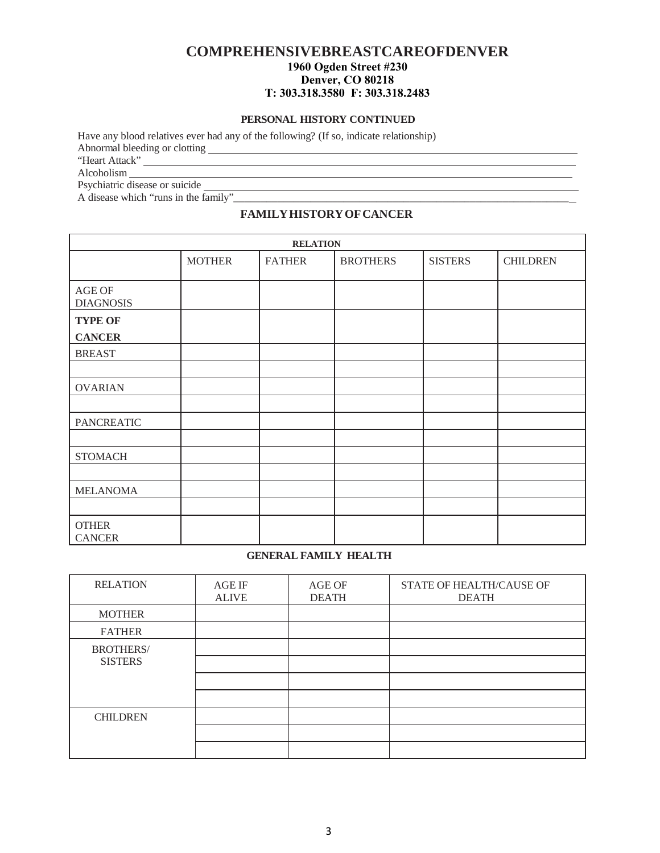# **COMPREHENSIVEBREASTCAREOFDENVER 1960 Ogden Street #230 Denver, CO 80218 T: 303.318.3580 F: 303.318.2483**

#### **PERSONAL HISTORY CONTINUED**

Have any blood relatives ever had any of the following? (If so, indicate relationship) Abnormal bleeding or clotting

"Heart Attack"

Alcoholism

Psychiatric disease or suicide

A disease which "runs in the family"\_\_\_\_\_\_\_\_\_\_\_\_\_\_\_\_\_\_\_\_\_\_\_\_\_\_\_\_\_\_\_\_\_\_\_\_\_\_\_\_\_\_\_\_\_\_\_\_\_\_\_\_\_\_\_\_\_\_\_\_\_

### **FAMILY HISTORY OF CANCER**

|                                 | <b>RELATION</b> |               |                 |                |                 |  |  |  |  |
|---------------------------------|-----------------|---------------|-----------------|----------------|-----------------|--|--|--|--|
|                                 | <b>MOTHER</b>   | <b>FATHER</b> | <b>BROTHERS</b> | <b>SISTERS</b> | <b>CHILDREN</b> |  |  |  |  |
| AGE OF<br><b>DIAGNOSIS</b>      |                 |               |                 |                |                 |  |  |  |  |
| <b>TYPE OF</b><br><b>CANCER</b> |                 |               |                 |                |                 |  |  |  |  |
| <b>BREAST</b>                   |                 |               |                 |                |                 |  |  |  |  |
|                                 |                 |               |                 |                |                 |  |  |  |  |
| <b>OVARIAN</b>                  |                 |               |                 |                |                 |  |  |  |  |
|                                 |                 |               |                 |                |                 |  |  |  |  |
| <b>PANCREATIC</b>               |                 |               |                 |                |                 |  |  |  |  |
|                                 |                 |               |                 |                |                 |  |  |  |  |
| <b>STOMACH</b>                  |                 |               |                 |                |                 |  |  |  |  |
|                                 |                 |               |                 |                |                 |  |  |  |  |
| <b>MELANOMA</b>                 |                 |               |                 |                |                 |  |  |  |  |
|                                 |                 |               |                 |                |                 |  |  |  |  |
| <b>OTHER</b><br><b>CANCER</b>   |                 |               |                 |                |                 |  |  |  |  |

#### **GENERAL FAMILY HEALTH**

| <b>RELATION</b>  | <b>AGE IF</b><br><b>ALIVE</b> | <b>AGE OF</b><br><b>DEATH</b> | STATE OF HEALTH/CAUSE OF<br><b>DEATH</b> |
|------------------|-------------------------------|-------------------------------|------------------------------------------|
| <b>MOTHER</b>    |                               |                               |                                          |
| <b>FATHER</b>    |                               |                               |                                          |
| <b>BROTHERS/</b> |                               |                               |                                          |
| <b>SISTERS</b>   |                               |                               |                                          |
|                  |                               |                               |                                          |
|                  |                               |                               |                                          |
| <b>CHILDREN</b>  |                               |                               |                                          |
|                  |                               |                               |                                          |
|                  |                               |                               |                                          |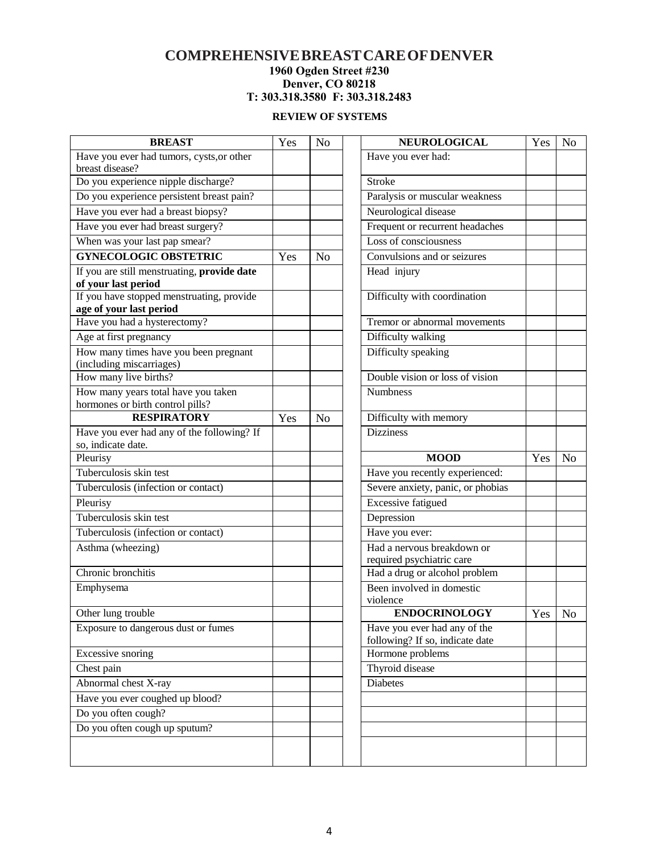### **COMPREHENSIVE BREAST CARE OF DENVER 1960 Ogden Street #230 Denver, CO 80218 T: 303.318.3580 F: 303.318.2483**

### **REVIEW OF SYSTEMS**

| <b>BREAST</b>                                                           | Yes | N <sub>o</sub> | <b>NEUROLOGICAL</b>                                        | Yes | N <sub>o</sub> |
|-------------------------------------------------------------------------|-----|----------------|------------------------------------------------------------|-----|----------------|
| Have you ever had tumors, cysts, or other                               |     |                | Have you ever had:                                         |     |                |
| breast disease?                                                         |     |                |                                                            |     |                |
| Do you experience nipple discharge?                                     |     |                | Stroke                                                     |     |                |
| Do you experience persistent breast pain?                               |     |                | Paralysis or muscular weakness                             |     |                |
| Have you ever had a breast biopsy?                                      |     |                | Neurological disease                                       |     |                |
| Have you ever had breast surgery?                                       |     |                | Frequent or recurrent headaches                            |     |                |
| When was your last pap smear?                                           |     |                | Loss of consciousness                                      |     |                |
| <b>GYNECOLOGIC OBSTETRIC</b>                                            | Yes | No             | Convulsions and or seizures                                |     |                |
| If you are still menstruating, provide date                             |     |                | Head injury                                                |     |                |
| of your last period                                                     |     |                |                                                            |     |                |
| If you have stopped menstruating, provide                               |     |                | Difficulty with coordination                               |     |                |
| age of your last period                                                 |     |                |                                                            |     |                |
| Have you had a hysterectomy?                                            |     |                | Tremor or abnormal movements                               |     |                |
| Age at first pregnancy                                                  |     |                | Difficulty walking                                         |     |                |
| How many times have you been pregnant                                   |     |                | Difficulty speaking                                        |     |                |
| (including miscarriages)<br>How many live births?                       |     |                | Double vision or loss of vision                            |     |                |
|                                                                         |     |                | <b>Numbness</b>                                            |     |                |
| How many years total have you taken<br>hormones or birth control pills? |     |                |                                                            |     |                |
| <b>RESPIRATORY</b>                                                      | Yes | N <sub>o</sub> | Difficulty with memory                                     |     |                |
| Have you ever had any of the following? If                              |     |                | <b>Dizziness</b>                                           |     |                |
| so, indicate date.                                                      |     |                |                                                            |     |                |
|                                                                         |     |                |                                                            |     |                |
| Pleurisy                                                                |     |                | <b>MOOD</b>                                                | Yes | N <sub>o</sub> |
| Tuberculosis skin test                                                  |     |                | Have you recently experienced:                             |     |                |
| Tuberculosis (infection or contact)                                     |     |                | Severe anxiety, panic, or phobias                          |     |                |
| Pleurisy                                                                |     |                | <b>Excessive fatigued</b>                                  |     |                |
| Tuberculosis skin test                                                  |     |                | Depression                                                 |     |                |
|                                                                         |     |                |                                                            |     |                |
| Tuberculosis (infection or contact)                                     |     |                | Have you ever:<br>Had a nervous breakdown or               |     |                |
| Asthma (wheezing)                                                       |     |                |                                                            |     |                |
| Chronic bronchitis                                                      |     |                | required psychiatric care<br>Had a drug or alcohol problem |     |                |
| Emphysema                                                               |     |                | Been involved in domestic                                  |     |                |
|                                                                         |     |                | violence                                                   |     |                |
| Other lung trouble                                                      |     |                | <b>ENDOCRINOLOGY</b>                                       | Yes | No             |
| Exposure to dangerous dust or fumes                                     |     |                | Have you ever had any of the                               |     |                |
|                                                                         |     |                | following? If so, indicate date                            |     |                |
| Excessive snoring                                                       |     |                | Hormone problems                                           |     |                |
| Chest pain                                                              |     |                | Thyroid disease                                            |     |                |
| Abnormal chest X-ray                                                    |     |                | <b>Diabetes</b>                                            |     |                |
| Have you ever coughed up blood?                                         |     |                |                                                            |     |                |
| Do you often cough?                                                     |     |                |                                                            |     |                |
| Do you often cough up sputum?                                           |     |                |                                                            |     |                |
|                                                                         |     |                |                                                            |     |                |